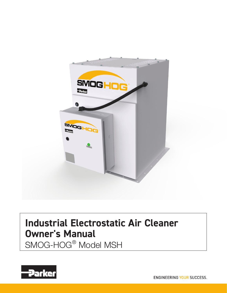

# **Industrial Electrostatic Air Cleaner Owner's Manual**

SMOG-HOG® Model MSH

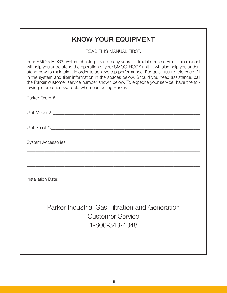| <b>KNOW YOUR EQUIPMENT</b>                                                                                                                                                                                                                                                                                                                                                                                                                                                                                                                         |
|----------------------------------------------------------------------------------------------------------------------------------------------------------------------------------------------------------------------------------------------------------------------------------------------------------------------------------------------------------------------------------------------------------------------------------------------------------------------------------------------------------------------------------------------------|
| <b>READ THIS MANUAL FIRST.</b>                                                                                                                                                                                                                                                                                                                                                                                                                                                                                                                     |
| Your SMOG-HOG <sup>®</sup> system should provide many years of trouble-free service. This manual<br>will help you understand the operation of your SMOG-HOG® unit. It will also help you under-<br>stand how to maintain it in order to achieve top performance. For quick future reference, fill<br>in the system and filter information in the spaces below. Should you need assistance, call<br>the Parker customer service number shown below. To expedite your service, have the fol-<br>lowing information available when contacting Parker. |
|                                                                                                                                                                                                                                                                                                                                                                                                                                                                                                                                                    |
|                                                                                                                                                                                                                                                                                                                                                                                                                                                                                                                                                    |
|                                                                                                                                                                                                                                                                                                                                                                                                                                                                                                                                                    |
| <b>System Accessories:</b>                                                                                                                                                                                                                                                                                                                                                                                                                                                                                                                         |
|                                                                                                                                                                                                                                                                                                                                                                                                                                                                                                                                                    |
|                                                                                                                                                                                                                                                                                                                                                                                                                                                                                                                                                    |
| Parker Industrial Gas Filtration and Generation<br><b>Customer Service</b><br>1-800-343-4048                                                                                                                                                                                                                                                                                                                                                                                                                                                       |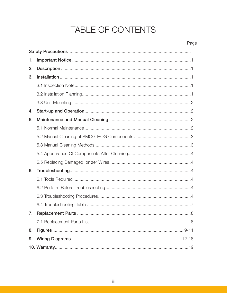# TABLE OF CONTENTS

| 1. |  |  |  |  |  |
|----|--|--|--|--|--|
| 2. |  |  |  |  |  |
| 3. |  |  |  |  |  |
|    |  |  |  |  |  |
|    |  |  |  |  |  |
|    |  |  |  |  |  |
| 4. |  |  |  |  |  |
| 5. |  |  |  |  |  |
|    |  |  |  |  |  |
|    |  |  |  |  |  |
|    |  |  |  |  |  |
|    |  |  |  |  |  |
|    |  |  |  |  |  |
| 6. |  |  |  |  |  |
|    |  |  |  |  |  |
|    |  |  |  |  |  |
|    |  |  |  |  |  |
|    |  |  |  |  |  |
|    |  |  |  |  |  |
|    |  |  |  |  |  |
| 8. |  |  |  |  |  |
| 9. |  |  |  |  |  |
|    |  |  |  |  |  |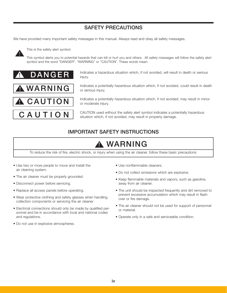# SAFETY PRECAUTIONS

We have provided many important safety messages in this manual. Always read and obey all safety messages.



This is the safety alert symbol.

This symbol alerts you to potential hazards that can kill or hurt you and others. All safety messages will follow the safety alert symbol and the word "DANGER", "WARNING" or "CAUTION". These words mean:







Indicates a hazardous situation which, if not avoided, will result in death or serious injury.

Indicates a potentially hazardous situation which, if not avoided, could result in death or serious injury.

Indicates a potentially hazardous situation which, if not avoided, may result in minor or moderate injury.

CAUTION used without the safety alert symbol indicates a potentially hazardous situation which, if not avoided, may result in property damage.

# IMPORTANT SAFETY INSTRUCTIONS

# **A WARNING**

To reduce the risk of fire, electric shock, or injury when using the air cleaner, follow these basic precautions:

- Use two or more people to move and install the air cleaning system.
- The air cleaner must be properly grounded.
- Disconnect power before servicing.
- Replace all access panels before operating.
- Wear protective clothing and safety glasses when handling collection components or servicing the air cleaner
- Electrical connections should only be made by qualified personnel and be in accordance with local and national codes and regulations.
- Do not use in explosive atmospheres.
- Use nonflammable cleaners.
- Do not collect emissions which are explosive.
- Keep flammable materials and vapors, such as gasoline, away from air cleaner.
- The unit should be inspected frequently and dirt removed to prevent excessive accumulation which may result in flashover or fire damage.
- The air cleaner should not be used for support of personnel or material.
- Operate only in a safe and serviceable condition.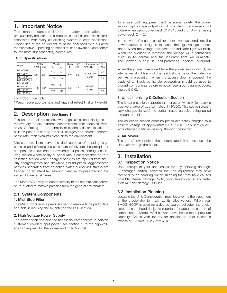# 1. Important Notice

This manual contains important safety information and precautionary measures. It is impossible to list all potential hazards associated with every air cleaning system in each application. Proper use of the equipment must be discussed with a Parker representative. Operating personnel must be aware of, and adhere to, the most stringent safety procedures.

### Unit Specifications:

| Model             | Airflow    |            | Weight* |     | Blower<br>Size |     | <b>Electrical Service</b> |            |
|-------------------|------------|------------|---------|-----|----------------|-----|---------------------------|------------|
|                   | <b>CFM</b> | <b>CMH</b> | lbs     | kg  | HP             | kW  | V/PH/Hz                   | <b>FLA</b> |
| <b>MSH-05-H</b>   | 500        | 850        | 115     | 52  |                | 0.2 | 100-120/1/60<br>3-wire    | 2.3        |
| <b>MSH-05-V</b>   |            |            |         |     | 0.25           |     |                           |            |
| <b>MSH-05-M-H</b> |            |            | 175     | 79  |                |     |                           | 2.9        |
| <b>MSH-05-M-H</b> |            |            |         |     |                |     |                           |            |
| <b>MSH-11-H</b>   | 1.100      | 1.870      | 192     | 87  | 1.45           | 1.1 | 230/1/60<br>4-wire        | 5          |
| <b>MSH-11-V</b>   |            |            |         |     |                |     |                           |            |
| <b>MSH-11-M-H</b> |            |            | 275     | 125 |                |     |                           | 5.3        |
| <b>MSH-11-M-V</b> |            |            |         |     |                |     |                           |            |

For Indoor Use Only

\* Weights are approximate and may not reflect final unit weight

# 2. Description (See figure 1)

This unit is a self-contained, two-stage, air cleaner designed to remove dry or oily airborne contaminants from industrial work areas. Operating on the principle of electrostatic precipitation, it pulls air past a mist-stop pre-filter, charges and collects airborne particulate, then exhausts clean air to the environment.

Mist-stop pre-filters serve the dual purpose of trapping large particles and diffusing the air stream evenly into the precipitator components at low, controlled velocity. Air passes through an ionizing section where nearly all particulate is charged; then on to a collecting section where charged particles are repelled from similarly charged plates and drawn to ground plates. Agglomerated particles separated from collection plates during unit startup are trapped on an after-filter, allowing clean air to pass through the system blower at all times.

The Model MSH may be ducted directly to the contaminant source or un-ducted to remove particles from the general environment.

# 2.1 System Components

### 1. Mist Stop Filter

The Mist Stop filter is a pre-filter used to remove large particulate and aids in diffusing the air entering the ESP section.

### 2. High Voltage Power Supply

The power pack contains the necessary components to convert customer provided input power (see section 1) to the high-voltage DC required for the ionizer and collection cell.

To ensure both equipment and personnel safety, the power supply high voltage output circuit is limited to a maximum of 5.0mA when using power-pack 21-1216 and 5.6mA when using power-pack 21-1234.

In the event of a short circuit or other overload condition, the power supply is designed to cause the high voltage to collapse. When the voltage collapses, the indicator light will blink. When the overload is removed, the voltage will automatically build up to normal and the indicator light will illuminate. The power supply is self-protecting against overload.

When the power is removed from the power supply circuit, an internal resistor bleeds off the residual charge on the collection cell. As a precaution, when the access door is opened, the blade of an insulated handle screwdriver should be used to ground components before removal (see grounding procedure, figures 5 & 6).

## 3. Unicell Ionizing & Collection Section

The ionizing section supports thin tungsten wires which carry a positive charge of approximately 11 KVDC. This section electrically charges (ionizes) the contaminated particles being pulled through the unit.

The collection section contains plates alternately charged to a positive voltage of approximately 5.5 KVDC. This section collects charged particles passing through the ionizer.

### 4. Air Mover

The motor/blower pulls in the contaminated air and exhausts the clean air through the outlet.

# 3. Installation

### 3.1 Inspection Notice

Upon receipt of your unit, check for any shipping damage. A damaged carton indicates that the equipment may have received rough handling during shipping that may have caused possible internal damage. Notify your delivery carrier and enter a claim if any damage is found.

# 3.2 Installation Planning

Locating the Unit: Consideration must be given to the placement of the precipitator to maximize its effectiveness. When your SMOG-HOG<sup>®</sup> is used as a ducted source collector, the enclosure or pickup hood design is important for adequate capture of contaminants. Model MSH blowers have limited static pressure capacity. Check with factory for anticipated duct losses in excess of 0.5 inWC (12.7 mmWC).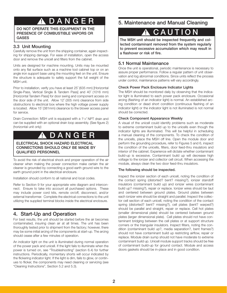# DANGE

DO NOT OPERATE THIS EQUIPMENT IN THE PRESENCE OF COMBUSTIBLE VAPORS OR

# 3.3 Unit Mounting

Carefully remove the unit from the shipping container, again inspecting for shipping damage. For ease of installation, open the access door and remove the unicell and filters from the cabinet.

Units are designed for machine mounting. Units may be mounted onto any flat surface such as a machine tool cabinet top or on an angle iron support base using the mounting feet on the unit. Ensure the structure is adequate to safely support the full weight of the MSH unit.

Prior to installation, verify you have at least 25˝ (635 mm) [Horizontal Single-Pass, Vertical Single & Tandem Pass] and 40˝ (1016 mm) [Horizontal Tandem Pass] for door swing and component access on the door side of the unit. Allow 12˝ (305 mm) clearance from side obstructions to electrical box where the high voltage power supply is located. Allow 15˝ (381mm) clearance to the blower access panel for service.

Drain Connection: MSH unit is equipped with a 1<sup>1</sup>/2<sup>"</sup> NPT drain and can be supplied with an optional drain loop assembly. (See figure 2) (horizontal unit only)

# **DANGER**

ELECTRICAL SHOCK HAZARD ELECTRICAL CONNECTIONS SHOULD ONLY BE MADE BY QUALIFIED PERSONNEL

To avoid the risk of electrical shock and proper operation of the air cleaner when making the power connection make certain the air cleaner is grounded by connecting a good earth ground wire to the earth ground point in the electrical enclosure.

Installation should conform to all national and local codes.

Refer to Section 9 for your appropriate wire diagram and interconnect. Ensure to take into account all purchased options. These may include power cord kits, remote on/off, disconnect, and/or external transformer. Complete the electrical connections to the unit utilizing the supplied terminal blocks inside the electrical enclosure.

# 4. Start-Up and Operation

For best results, the unit should be started before the air becomes contaminated, insuring clean air at all times. The unit has been thoroughly tested prior to shipment from the factory; however, there may be some initial arcing of the components at start-up. The arcing should cease after a few minutes of operation.

An indicator light on the unit is illuminated during normal operation of the power pack and unicell. If the light fails to illuminate when the power is turned on, see "Troubleshooting" (section 6.4) for further instructions. Periodically, momentary shorts will occur indicated by the flickering indicator light. If the light is dim, fails to glow, or continues to flicker, the components may need cleaning or servicing (see "Cleaning Instructions", Section 5.2 and 5.3).

# 5. Maintenance and Manual Cleaning

# **!** CAUTION

GASES lected contaminant removed from the system regularly to prevent excessive accumulation which may result in a flashover or risk of fire.

# 5.1 Normal Maintenance

Once the unit is operational, periodic maintenance is necessary to assure proper performance. Follow a regular pattern of unit observation and log abnormal conditions. Since units reflect the process under control, maintenance patterns will vary accordingly.

## Check Power Pack Enclosure Indicator Lights

The MSH should be monitored daily by observing that the indicator light is illuminated to each power pack enclosure. Occasional arcing (flashing of an indicator light) is normal. An established arcing condition or dead short condition (continuous flashing of an indicator light) or the indicator light is not illuminated is not normal should be corrected.

## Check Component Appearance Weekly

A visual of the unicell could identify problems such as moderate to extreme contaminant build up to the unicells even though the indicator lights are illuminated. This will be helpful in scheduling a manual cleaning of the components. To check the condition of the unicells, place the MSH off line. Open the module door and perform the grounding procedure, refer to Figures 5 and 6, inspect the condition of the unicells, filters, door feed-thru insulators and interior of the cabinet. Experience will dictate whether contaminant build-up is excessive. Contaminant build up will decrease high voltage to the ionizer and collector cell circuit. When accessing the module, always clean the two door feed-thru insulators.

### The following should be inspected.

Inspect the ionizer section of each unicell, noting the condition of the contact spring (distorted? bent? missing?), ionizer standoff insulators (contaminant build up) and ionizer wires (contaminant build up? missing?), repair or replace. Ionizer wires should be taut and centered between ground plates. Ground plates between each ionizer wire should be straight and parallel. Inspect the collector cell section of each unicell, noting the condition of the contact spring (distorted? bent? missing?), cell plates (bent? warped?) should be parallel and straight, repair or replace. Cell hot plates (smaller dimensional plate) should be centered between ground plates (larger dimensional plate). Cell plates should not have contaminant bridging between the cell plates or at support structure corners or the triangular insulators. Inspect filters, noting the condition (contaminant build up?, media separation?, bent frames?) should not have contaminant build up restricting airflow, repair or replace. Module drain sump should not have moderate to extreme contaminant build up. Unicell module support tracks should be free of contaminant build-up for ground contact. Module and access doors gaskets should be in-place and in good condition.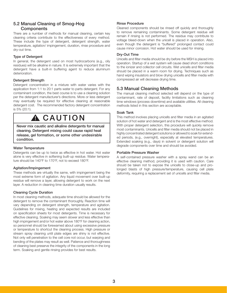# 5.2 Manual Cleaning of Smog-Hog **Components**

There are a number of methods for manual cleaning, certain key cleaning criteria contribute to the effectiveness of every method. These include the type of detergent, detergent strength, water temperature, agitation/ impingement, duration, rinse procedure and dry-out time.

### Type of Detergent

In general, the detergent used on most hydrocarbons (e.g., oily residues) will be alkaline in nature. It is extremely important that the detergent have a built-in buffering agent to reduce aluminum deterioration.

## Detergent Strength

Detergent concentration in a mixture with water varies with the application from 1:1 to 20:1 parts water to parts detergent. For any contaminant condition, the best course is to use a cleaning solution per the detergent manufacturer's directions. More or less detergent may eventually be required for effective cleaning at reasonable detergent cost. The recommended factory detergent concentration is 5% (20:1).

# A CAUTION

Never mix caustic and alkaline detergents for manual cleaning. Detergent mixing could cause rapid heat release, gel formation, or some other undesirable condition.

### Water Temperature

Detergents can be up to twice as effective in hot water. Hot water alone is very effective in softening built-up residue. Water temperature should be 140°F to 170°F, not to exceed 180°F.

# Agitation/Impingement

These methods are virtually the same, with impingement being the most extreme form of agitation. Any liquid movement over built-up residue will remove a layer, allowing detergent to work on the next layer. A reduction in cleaning time duration usually results.

# Cleaning Cycle Duration

In most cleaning methods, adequate time should be allowed for the detergent to remove the contaminant thoroughly. Reaction time will vary depending on detergent strength, temperature and agitation. Guidelines for mixing, heating and expected results are included on specification sheets for most detergents. Time is necessary for effective cleaning. Soaking may seem slower and less effective than high impingement and/or hot water above 180°F for cleaning action, so personnel should be forewarned about using excessive pressure or temperature to shortcut the cleaning process. High pressure or stream spray cleaning until plate edges are shiny is not effective. Not only will penetration to the cell core not occur, but warping and bending of the plates may result as well. Patience and thoroughness of cleaning best preserve the integrity of the components in the long term. Soaking and gentle rinsing provides for best results.

## Rinse Procedure

Cleaned components should be rinsed off quickly and thoroughly to remove remaining contaminants. Some detergent residue will remain if rinsing is not performed. The residue may contribute to voltage bleed-down when the unicell is placed in operation. Also, even though the detergent is "buffered" prolonged contact could cause minor corrosion. Hot water should be used for rinsing.

### Dry-Out Time

Unicells and filter media should be dry before the MSH is placed into operation. Startup of a wet system will cause dead short conditions to the ionizer and collector cell circuits. Wet unicells and filter media should be placed in a warm room for drying. Techniques such as hand wiping insulators and blow drying unicells and filter media with compressed air will decrease drying time.

# 5.3 Manual Cleaning Methods

The manual cleaning method selected will depend on the type of contaminant, rate of deposit, facility limitations such as cleaning time windows (process downtime) and available utilities. All cleaning methods listed in this section are acceptable.

### Soak Tank

This method involves placing unicells and filter media in an agitated solution of hot water and detergent and is the most effective method. With proper detergent selection, this procedure will quickly remove most contaminants. Unicells and filter media should not be placed in highly concentrated detergent solutions or allowed to soak for extended periods, (e.g., overnight), especially at elevated temperatures. Extended soaking (e.g., days) in solvent or detergent solution will degrade components over time and should be avoided.

### Portable Pressure Washer

A self-contained pressure washer with a spray wand can be an effective cleaning method, providing it is used with caution. Care should be taken not to expose the unicells to close-up and prolonged blasts of high pressure/temperature, causing cell plate deformity, requiring a replacement set of unicells and filter media.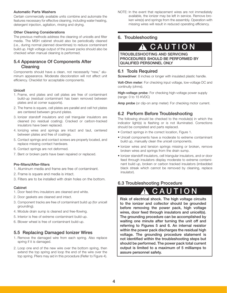### Automatic Parts Washers

Certain commercially available units combine and automate the features necessary for effective cleaning, including water heating, detergent injection, agitation, rinsing and drying.

### Other Cleaning Considerations

The previous methods address the cleaning of unicells and filter media. The MSH cabinet should also be periodically cleaned (i.e., during normal planned downtimes) to reduce contaminant build up. High voltage output of the power packs should also be checked when manual cleaning is performed.

# 5.4 Appearance Of Components After Cleaning

Components should have a clean, not necessarily "new," aluminum appearance. Moderate discoloration will not affect unit efficiency. Checklist for acceptable components.

## Unicell

- 1. Frame, end plates and cell plates are free of contaminant build-up (residual contaminant has been removed between plates and at comer supports).
- 2. The frame is square, cell plates are parallel and cell hot plates are centered between ground plates.
- 3. Ionizer standoff insulators and cell triangular insulators are cleaned (no residual coating). Cracked or carbon-tracked insulators have been replaced.
- 4. Ionizing wires and springs are intact and taut, centered between plates and free of coatings.
- 5. Contact springs and contact screws are properly located, and replace missing contact hardware.
- 6. Contact springs are not deformed.
- 7. Bent or broken parts have been repaired or replaced.

# Pre-filters/After-filters

- 1. Aluminum media and frame are free of contaminant.
- 2. Frame is square and media is intact.
- 3. Filters are to be installed with drain holes on the bottom.

### Cabinet

- 1. Door feed-thru insulators are cleaned and white.
- 2. Door gaskets are cleaned and intact.
- 3. Component tracks are free of contaminant build up (for unicell grounding).
- 4. Module drain sump is cleaned and free-flowing.
- 5. Interior is free of extreme contaminant build-up.
- 6. Blower wheel is free of contaminant build-up.

# 5.5 Replacing Damaged Ionizer Wires

- 1. Remove the damaged wire from each spring. Also replace spring if it is damaged.
- 2. Loop one end of the new wire over the bottom spring, then extend the top spring and loop the end of the wire over the top spring. Pliers may aid in this procedure (Refer to Figure 4).

NOTE: In the event that replacement wires are not immediately available, the ionizer may be left in service. Remove broken wire(s) and springs from the assembly. Operation with missing wires will result in reduced operating efficiency.

# 6. Troubleshooting

# **!** CAUTION

#### I TROUBLESHOOTING AND SERVICING PROCEDURES SHOULD BE PERFORMED BY QUALIFIED PERSONNEL ONLY

# 6.1 Tools Required

Screwdriver: 8 inches or longer with insulated plastic handle.

Volt-Ohm meter: For checking input voltage, low-voltage DC and continuity (ohms).

High-voltage probe: For checking high-voltage power supply (range: 0 to 15 KVDC)

Amp probe (or clip-on amp meter): For checking motor current.

# 6.2 Perform Before Troubleshooting

The following should be checked to the module(s) in which the indicator light(s) is flashing or is not illuminated. Corrections should be completed and parts replaced.

- Contact springs in the correct location, Figure 1.
- Unicell components have a moderate to extreme contaminant build up, manually clean the unicell components.
- Ionizer wires and tension springs missing or broken, remove broken wires and springs from the drain sump.
- Ionizer standoff insulators, cell triangular insulators, and or door feed through insulators display moderate to extreme contaminant build up, broken or carbon tracked insulators (imbedded black streak which cannot be removed by cleaning, replace insulator).

# 6.3 Troubleshooting Procedure

# **!** CAUTION

Risk of electrical shock. The high voltage circuits to the ionizer and collector should be grounded before removing the power pack, high voltage wires, door feed through insulators and unicell(s). The grounding procedure can be accomplished by waiting one minute after turning the unit off and referring to Figures 5 and 6. An internal resistor within the power pack discharges the residual high voltage. The grounding procedure statement is not identified within the troubleshooting steps but should be performed. The power pack total current output is limited to a maximum of 5 milliamps to assure personnel safety.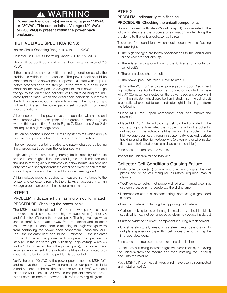# **WARNING**

Power pack enclosure(s) service voltage is 120VAC or 230VAC. This can be lethal. Voltage (120 VAC) or (230 VAC) is present within the power pack enclosure.

# HIGH VOLTAGE SPECIFICATIONS:

Ionizer Circuit Operating Range: 10.0 to 11.8 KVDC

Collector Cell Circuit Operating Range: 5.0 to 7.5 KVDC

There will be continuous cell arcing if cell voltages exceed 7.5 KVDC.

If there is a dead short condition or arcing condition usually the problem is within the collector cell. The power pack should be confirmed that the power pack is operational, start with step (1), before proceeding to the step (2). In the event of a dead short condition the power pack is designed to "shut down" the high voltage to the ionizer and collector cell circuits causing the indicator light to flash. When the dead short condition is removed the high voltage output will return to normal. The indicator light will be illuminated. The power pack is self protecting from dead short conditions.

All connectors on the power pack are identified with name and wire number with the exception of the ground connector (green wire to this connection) Refer to Figure 7. Step 1 and Step 2 do not require a high voltage probe.

The ionizer section supports 10 mil tungsten wires which apply a high voltage positive charge to the contaminant particles.

The cell section contains plates alternately charged collecting the charged particles from the ionizer section.

High voltage problems can generally be isolated by reference to the indicator light. If the indicator light(s) are illuminated and the unit is moving air but efficiency is below normal (unicells not dirty, smoke discharging from the exhaust blower) check that the contact springs are in the correct locations, see Figure 1.

A high voltage probe is required to measure high voltages to the ionizer and collector circuits to the unit. As an accessory, a high voltage probe can be purchased for a multimeter.

# STEP 1

# PROBLEM: Indicator light is flashing or not illuminated PROCEDURE: Checking the power pack

The MSH should be placed "off", open power pack enclosure lid door, and disconnect both high voltage wires (Ionizer #8 and Collector #7) from the power pack. The high voltage wires should carefully be placed away from the ionizer and collector cell power pack connectors, eliminating the high voltage wires from contacting the power pack connectors. Place the MSH "on"; the indicator light should be illuminated. If the indicator light is illuminated the power pack is operational, proceed to step (2). If the indicator light is flashing (high voltage wires #8 and #7 disconnected from the power pack), the power pack requires replacement. If the indicator light is not illuminated proceed with following until the problem is corrected.

Verify there is 120 VAC to the power pack, place the MSH "off" and remove the 120 VAC wires from the power pack terminals 5 and 6. Connect the multimeter to the two 120 VAC wires and place the MSH "on". If 120 VAC is not present there are problems upstream from the power pack, refer to wiring diagram.

# STEP<sub>2</sub>

## PROBLEM: Indicator light is flashing.

### PROCEDURE: Checking the unicell components

Do not proceed with step (2) until step (1) is completed. The following steps are the process of elimination in identifying the problems to the ionizer/collector cell circuit.

There are four conditions which could occur with a flashing indicator light.

- 1. The high voltages are below specifications to the ionizer and or the collector cell circuit(s).
- 2. There is an arcing condition to the ionizer and or collector cell circuit(s).
- 3. There is a dead short condition.
- 4. The power pack has failed. Refer to step 1.

(a) Place the MSH "off", and open power pack lid door. Disconnect high voltage wire #8 to the ionizer connector with high voltage wire #7 (Collector) connected on the power pack and place MSH "on". The indicator light should be illuminated. If so, the cell circuit is operational proceed to (b). If indicator light is flashing perform the following:

- Place MSH "off", open component door, and remove the unicell(s).
- Place MSH "on". The indicator light should be illuminated. If the indicator light is illuminated the problem is within the collector cell section. If the indicator light is flashing the problem is the high voltage door feed through insulator (dirty, cracked, carbon tracking) and or the high voltage wire (broken wire or wire insulation has deteriorated causing a dead short condition).

Parts should be replaced as required.

Inspect the unicell(s) for the following:

# Collector Cell Conditions Causing Failure

- Dirty collector cell(s) (contaminant build up bridging the cell plates and or on cell triangular insulators) requiring manual cleaning.
- "Wet" collector cell(s), not properly dried after manual cleaning, use compressed air to accelerate the drying time.
- Deformed collector cell contact springs contacting a "grounded surface".
- Bent cell plate(s) contacting the opposing cell plate(s).
- Carbon tracking to the cell triangular insulators, imbedded black streak which cannot be removed by cleaning (replace insulator.)
- Surface oxidation to unicell component requiring a replacement.
- Unicell is structurally weak, loose steel rivets, deterioration to cell plate spacers or paper thin cell plates due to utilizing the improper detergent.

Parts should be replaced as required, install unicell(s).

Sometimes a flashing indicator light will clear itself by removing the unicell(s) from the module and then installing the unicell(s) back into the module.

Place MSH "off"; connect all wires which have been disconnected and install unicell(s).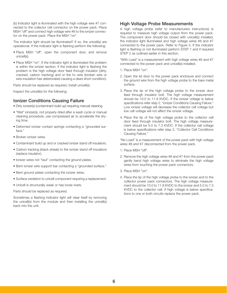(b) Indicator light is illuminated with the high voltage wire #7 connected to the collector cell connector on the power pack. Place MSH "off" and connect high voltage wire #8 to the ionizer connector on the power pack. Place the MSH "on".

The indicator light should be illuminated? If so, the unicell(s) are operational. If the indicator light is flashing perform the following:

- Place MSH "off", open the component door, and remove unicell(s).
- Place MSH "on". If the indicator light is illuminated the problem is within the ionizer section. If the indicator light is flashing the problem is the high voltage door feed through insulator (dirty, cracked, carbon tracking) and or the hv wire (broken wire or wire insulation has deteriorated causing a dead short condition).

Parts should be replaced as required, install unicell(s).

Inspect the unicell(s) for the following:

# Ionizer Conditions Causing Failure

- Dirty ionizer(s) (contaminant build up) requiring manual cleaning.
- "Wet" ionizer(s), not properly dried after a wash cycle or manual cleaning procedure, use compressed air to accelerate the drying time.
- Deformed ionizer contact springs contacting a "grounded surface."
- Broken ionizer wires.
- Contaminant build up and or cracked ionizer stand off insulators.
- Carbon tracking (black streak) to the ionizer stand off insulators (replace insulator).
- Ionizer wires not "taut" contacting the ground plates.
- Bent ionizer wire support bar contacting a "grounded surface."
- Bent ground plates contacting the ionizer wires.
- Surface oxidation to unicell component requiring a replacement.
- Unicell is structurally weak or has loose rivets.

Parts should be replaced as required.

Sometimes a flashing indicator light will clear itself by removing the unicell(s) from the module and then installing the unicell(s) back into the unit.

# High Voltage Probe Measurements

A high voltage probe (refer to manufacturers instructions) is required to measure high voltage output from the power pack. The component door should be closed with unicell(s) installed, the indicator light illuminated and high voltage wires #8 and #7 connected to the power pack. Refer to Figure 3. If the indicator light is flashing or not illuminated perform STEP 1 and if required STEP 2 as outlined earlier in this section.

"With Load" is a measurement with high voltage wires #8 and #7 connected to the power pack and unicell(s) installed.

- 1. Place MSH "on".
- 2. Open the lid door to the power pack enclosure and connect the ground wire from the high voltage probe to the bare metal surface.
- 3. Place the tip of the high voltage probe to the ionizer door feed through insulator bolt. The high voltage measurement should be 10.0 to 11.8 KVDC. If the ionizer voltage is below specifications refer step 2, "Ionizer Conditions Causing Failure." Low ionizer voltage will decrease the collector cell voltage but low cell voltage will not affect the ionizer voltage.
- 4. Place the tip of the high voltage probe to the collector cell door feed through insulator bolt. The high voltage measurement should be 5.0 to 7.3 KVDC. If the collector cell voltage is below specifications refer step 2, "Collector Cell Conditions Causing Failure."

"No Load" is a measurement of the power pack with high voltage wires #8 and #7 disconnected from the power pack.

- 1. Place MSH "off".
- 2. Remove the high voltage wires #8 and #7 from the power pack gently bend high voltage wires to eliminate the high voltage wires from touching the power pack connectors.
- 3. Place MSH "on".
- 4. Place the tip of the high voltage probe to the ionizer and to the collector power pack connectors. The high voltage measurement should be 10.0 to 11.8 KVDC to the ionizer and 5.0 to 7.3 KVDC to the collector cell. If high voltage is below specifications to one or both circuits replace the power pack.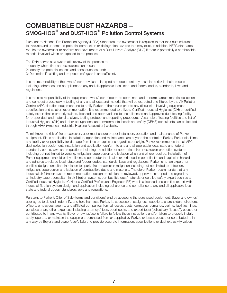# COMBUSTIBLE DUST HAZARDS – SMOG-HOG**®** and DUST-HOG**®** Pollution Control Systems

Pursuant to National Fire Protection Agency (NFPA) Standards, the owner/user is required to test their dust mixtures to evaluate and understand potential combustion or deflagration hazards that may exist. In addition, NFPA standards require the owner/user to perform and have record of a Dust Hazard Analysis (DHA) if there is potentially a combustible material involved within or exposed to the process.

The DHA serves as a systematic review of the process to:

- 1) Identify where fires and explosions can occur;
- 2) Identify the potential causes and consequences, and;
- 3) Determine if existing and proposed safeguards are sufficient.

It is the responsibility of the owner/user to evaluate, interpret and document any associated risk in their process including adherence and compliance to any and all applicable local, state and federal codes, standards, laws and regulations.

It is the sole responsibility of the equipment owner/user of record to coordinate and perform sample material collection and combustion/explosivity testing of any and all dust and material that will be extracted and filtered by the Air Pollution Control (APC) filtration equipment and to notify Parker of the results prior to any discussion involving equipment specification and solution recommendation. It is recommended to utilize a Certified Industrial Hygienist (CIH) or certified safety expert that is properly trained, licensed and approved and to use a licensed and approved dust testing facility for proper dust and material analysis, testing protocol and reporting procedures. A sample of testing facilities and list of Industrial Hygiene (CIH) and other occupational and environmental health and safety (OEHS) consultants can be located through AIHA (American Industrial Hygiene Association) website.

To minimize the risk of fire or explosion, user must ensure proper installation, operation and maintenance of Parker equipment. Since application, installation, operation and maintenance are beyond the control of Parker, Parker disclaims any liability or responsibility for damage from fires or explosions regardless of origin. Parker recommends that all APC dust collection equipment, installation and application conform to any and all applicable local, state and federal standards, codes, laws and regulations including the addition of appropriate fire or explosion protection systems including but not limited to venting, mitigation, suppression and isolation when and where required. Installation of Parker equipment should be by a licensed contractor that is also experienced in potential fire and explosion hazards and adheres to related local, state and federal codes, standards, laws and regulations. Parker is not an expert nor certified design consultant in relation to spark, fire or explosion mitigation including but not limited to detection, mitigation, suppression and isolation pf combustible dusts and materials. Therefore, Parker recommends that any industrial air filtration system recommendation, design or solution be reviewed, approved, stamped and signed by an industry expert consultant in air filtration systems, combustible dust/materials or certified safety expert such as a Certified Industrial Hygienist (CIH) or a Certified Professional Engineer (PE) who is a licensed and certified expert with industrial filtration system design and application including adherence and compliance to any and all applicable local, state and federal codes, standards, laws and regulations.

Pursuant to Parker's Offer of Sale (terms and conditions) and by accepting the purchased equipment, Buyer and owner/ user agree to defend, indemnify, and hold harmless Parker, its successors, assignees, suppliers, shareholders, directors, officers, employees, agents, and affiliated companies from all losses, costs, damages, demands, claims, liabilities, fines, penalties or any other expenses (including attorneys' fees, court costs, and expert fees) (collectively "losses"), caused or contributed to in any way by Buyer or owner/user's failure to follow these instructions and/or failure to properly install, apply, operate, or maintain the equipment purchased from or supplied by Parker, or losses caused or contributed to in any way by Buyer's and owner/user's failure to provide accurate information, specifications or dust explosivity values.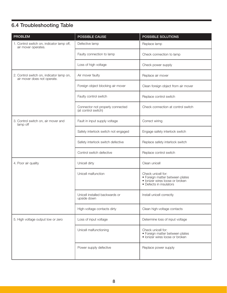# 6.4 Troubleshooting Table

| <b>PROBLEM</b>                                                          | POSSIBLE CAUSE                                          | <b>POSSIBLE SOLUTIONS</b>                                                                                           |  |
|-------------------------------------------------------------------------|---------------------------------------------------------|---------------------------------------------------------------------------------------------------------------------|--|
| 1. Control switch on, indicator lamp off,<br>air mover operates.        | Defective lamp                                          | Replace lamp                                                                                                        |  |
|                                                                         | Faulty connection to lamp                               | Check connection to lamp                                                                                            |  |
|                                                                         | Loss of high voltage                                    | Check power supply                                                                                                  |  |
| 2. Control switch on, indicator lamp on,<br>air mover does not operate. | Air mover faulty                                        | Replace air mover                                                                                                   |  |
|                                                                         | Foreign object blocking air mover                       | Clean foreign object from air mover                                                                                 |  |
|                                                                         | Faulty control switch                                   | Replace control switch                                                                                              |  |
|                                                                         | Connector not properly connected<br>(at control switch) | Check connection at control switch                                                                                  |  |
| 3. Control switch on, air mover and<br>lamp off                         | Fault in input supply voltage                           | Correct wiring                                                                                                      |  |
|                                                                         | Safety interlock switch not engaged                     | Engage safety interlock switch                                                                                      |  |
|                                                                         | Safety interlock switch defective                       | Replace safety interlock switch                                                                                     |  |
|                                                                         | Control switch defective                                | Replace control switch                                                                                              |  |
| 4. Poor air quality                                                     | Unicell dirty                                           | Clean unicell                                                                                                       |  |
|                                                                         | Unicell malfunction                                     | Check unicell for:<br>· Foreign matter between plates<br>· Ionizer wires loose or broken<br>• Defects in insulators |  |
|                                                                         | Unicell installed backwards or<br>upside down           | Install unicell correctly                                                                                           |  |
|                                                                         | High-voltage contacts dirty                             | Clean high-voltage contacts                                                                                         |  |
| 5. High voltage output low or zero                                      | Loss of input voltage                                   | Determine loss of input voltage                                                                                     |  |
|                                                                         | Unicell malfunctioning                                  | Check unicell for:<br>• Foreign matter between plates<br>· Ionizer wires loose or broken                            |  |
|                                                                         | Power supply defective                                  | Replace power supply                                                                                                |  |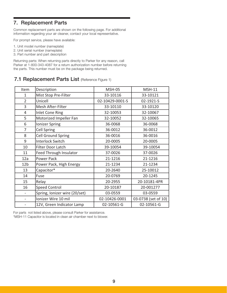# 7. Replacement Parts

Common replacement parts are shown on the following page. For additional information regarding your air cleaner, contact your local representative.

For prompt service, please have available:

- 1. Unit model number (nameplate)
- 2. Unit serial number (nameplate)
- 3. Part number and part description

Returning parts: When returning parts directly to Parker for any reason, call Parker at 1-800-343-4087 for a return authorization number before returning the parts. This number must be on the package being returned.

# 7.1 Replacement Parts List (Reference Figure 1)

| Item            | Description                   | <b>MSH-05</b>   | <b>MSH-11</b>       |
|-----------------|-------------------------------|-----------------|---------------------|
| 1               | Mist Stop Pre-Filter          | 33-10116        | 33-10121            |
| $\overline{2}$  | Unicell                       | 02-10429-0001-S | 02-1921-S           |
| 3               | Mesh After-Filter             | 33-10110        | 33-10120            |
| 4               | <b>Inlet Cone Ring</b>        | 32-10053        | 32-10067            |
| 5               | Motorized Impeller Fan        | 32-10052        | 32-10065            |
| 6               | <b>Ionizer Spring</b>         | 36-0068         | 36-0068             |
| 7               | <b>Cell Spring</b>            | 36-0012         | 36-0012             |
| 8               | <b>Cell Ground Spring</b>     | 36-0016         | 36-0016             |
| 9               | <b>Interlock Switch</b>       | 20-0005         | 20-0005             |
| 10              | Filter Door Latch             | 39-10054        | 39-10054            |
| 11              | Feed Through Insulator        | 37-0026         | 37-0026             |
| 12a             | Power Pack                    | 21-1216         | 21-1216             |
| 12 <sub>b</sub> | Power Pack, High Energy       | 21-1234         | 21-1234             |
| 13              | Capacitor*                    | 20-2640         | 25-10012            |
| 14              | Fuse                          | 20-0769         | 20-1245             |
| 15              | Relay                         | 20-2955         | 20-10181-4PR        |
| 16              | <b>Speed Control</b>          | 20-10187        | 20-001277           |
|                 | Spring, Ionizer wire (20/set) | 03-0559         | 03-0559             |
|                 | Ionizer Wire 10 mil           | 02-10426-0001   | 03-0738 (set of 10) |
|                 | 12V, Green Indicator Lamp     | 02-10561-G      | 02-10561-G          |

For parts not listed above, please consult Parker for assistance.

\*MSH-11 Capacitor is located in clean air chamber next to blower.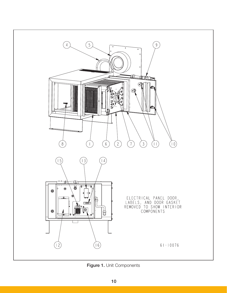

Figure 1. Unit Components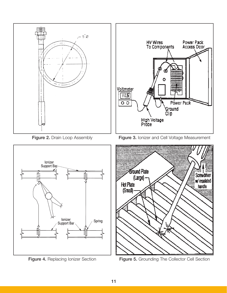

Figure 4. Replacing Ionizer Section

Figure 5. Grounding The Collector Cell Section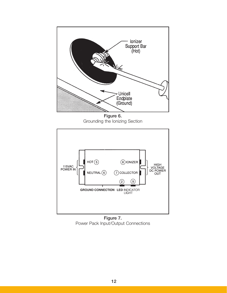

Figure 6. Grounding the Ionizing Section



Figure 7. Power Pack Input/Output Connections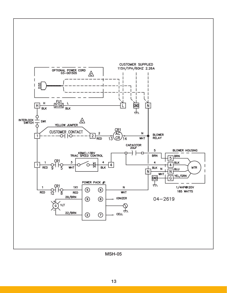

MSH-05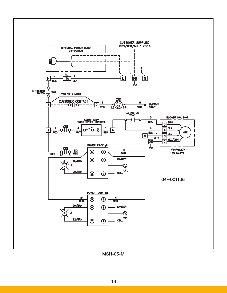

MSH-05-M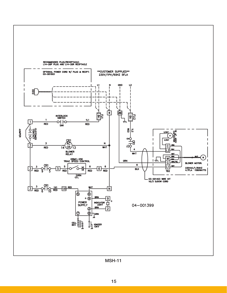

MSH-11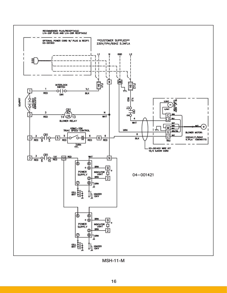

MSH-11-M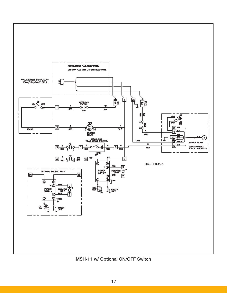

MSH-11 w/ Optional ON/OFF Switch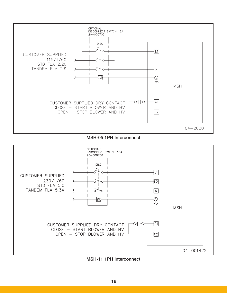

MSH-05 1PH Interconnect



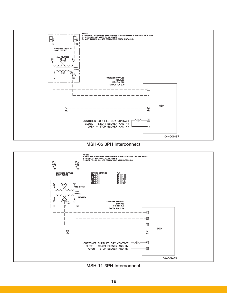





MSH-11 3PH Interconnect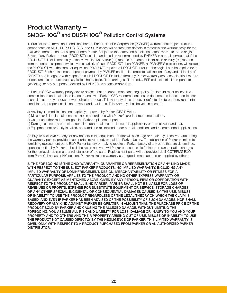# Product Warranty – SMOG-HOG**®** and DUST-HOG**®** Pollution Control Systems

1. Subject to the terms and conditions hereof, Parker-Hannifin Corporation (PARKER) warrants that major structural components on MCB, PNP, SDC, SFC, and SHM series will be free from defects in materials and workmanship for ten (10) years from the date of shipment from Parker. Subject to the terms and conditions hereof, warrants to the original Buyer of any Parker product (PRODUCT) installed and used as recommended by PARKER in normal service, that if the PRODUCT fails or is materially defective within twenty-four (24) months from date of installation or thirty (30) months from the date of shipment (whichever is earlier), of such PRODUCT, then PARKER, at PARKER'S sole option, will replace the PRODUCT with the same or equivalent PRODUCT, repair the PRODUCT or refund the original purchase price for the PRODUCT. Such replacement, repair of payment by PARKER shall be in complete satisfaction of any and all liability of PARKER and its agents with respect to such PRODUCT. Excluded from any Parker warranty are hose, electrical motors or consumable products such as flexible hose, belts, filter cartridges, filter media, ESP cells, electrical components, gasketing, or any component defined by PARKER as a consumable item.

2. Parker IGFG's warranty policy covers defects that are due to manufacturing quality. Equipment must be installed, commissioned and maintained in accordance with Parker IGFG recommendations as documented in the specific user manual related to your dust or wet collector product. This warranty does not cover defects due to poor environmental conditions, improper installation, or wear and tear items. This warranty shall be void in case of:

- a) Any buyer's modifications not explicitly approved by Parker IGFG Division,
- b) Misuse or failure in maintenance not in accordance with Parker's product recommendations,
- c) Use of unauthorized or non-genuine Parker replacement parts,
- d) Damage caused by corrosion, abrasion, abnormal use or misuse, misapplication, or normal wear and tear,

e) Equipment not properly installed, operated and maintained under normal conditions and recommended applications.

As Buyers exclusive remedy for any defects in the equipment, Parker will exchange or repair any defective parts during the warranty period, provided such parts are returned, prepaid, to Parker factory. The obligation of Parker is limited to furnishing replacement parts EXW Parker factory or making repairs at Parker factory of any parts that are determined, upon inspection by Parker, to be defective. In no event will Parker be responsible for labor or transportation charges for the removal, reshipment or reinstallation of the parts. Replacement parts will be provided via INCOTERMS EXW from Parker's Lancaster NY location. Parker makes no warranty as to goods manufactured or supplied by others.

3. THE FOREGOING IS THE ONLY WARRANTY, GUARANTEE OR REPRESENTATION OF ANY KIND MADE WITH RESPECT TO THE SUBJECT PARKER PRODUCTS. NO IMPLIED WARRANTY, INCLUDING ANY IMPLIED WARRANTY OF NONINFRINGEMENT, DESIGN, MERCHANTABILITY OR FITNESS FOR A PARTICULAR PURPOSE, APPLIES TO THE PRODUCT, AND NO OTHER EXPRESS WARRANTY OR GUARANTY, EXCEPT AS MENTIONED ABOVE, GIVEN BY ANY PERSON, FIRM OR CORPORATION WITH RESPECT TO THE PRODUCT SHALL BIND PARKER. PARKER SHALL NOT BE LIABLE FOR LOSS OF REVENUES OR PROFITS, EXPENSE FOR SUBSTITUTE EQUIPMENT OR SERVICE, STORAGE CHARGES, OR ANY OTHER SPECIAL, INCIDENTAL OR CONSEQUENTIAL DAMAGES CAUSED BY THE USE, MISUSE OR INABILITY TO USE THE PRODUCT REGARDLESS OF THE LEGAL THEORY ON WHICH THE CLAIM IS BASED, AND EVEN IF PARKER HAS BEEN ADVISED OF THE POSSIBILITY OF SUCH DAMAGES. NOR SHALL RECOVERY OF ANY KIND AGAINST PARKER BE GREATER IN AMOUNT THAN THE PURCHASE PRICE OF THE PRODUCT SOLD BY PARKER AND CAUSING THE ALLEGED DAMAGE. WITHOUT LIMITING THE FOREGOING, YOU ASSUME ALL RISK AND LIABILITY FOR LOSS, DAMAGE OR INJURY TO YOU AND YOUR PROPERTY AND TO OTHERS AND THEIR PROPERTY ARISING OUT OF USE, MISUSE OR INABILITY TO USE THE PRODUCT NOT CAUSED DIRECTLY BY THE NEGLIGENCE OF PARKER. THIS LIMITED WARRANTY IS GIVEN ONLY WITH RESPECT TO A PRODUCT PURCHASED FROM PARKER OR AN AUTHORIZED PARKER DISTRIBUTOR.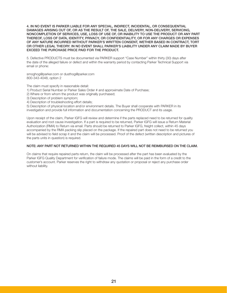4. IN NO EVENT IS PARKER LIABLE FOR ANY SPECIAL, INDIRECT, INCIDENTAL, OR CONSEQUENTIAL DAMAGES ARISING OUT OF, OR AS THE RESULT OF, THE SALE, DELIVERY, NON-DELIVERY, SERVICING, NONCOMPLETION OF SERVICES, USE, LOSS OF USE OF, OR INABILITY TO USE THE PRODUCT OR ANY PART THEREOF, LOSS OF DATA, IDENTITY, PRIVACY, OR CONFIDENTIALITY, OR FOR ANY CHARGES OR EXPENSES OF ANY NATURE INCURRED WITHOUT PARKER'S WRITTEN CONSENT, WETHER BASED IN CONTRACT, TORT OR OTHER LEGAL THEORY. IN NO EVENT SHALL PARKER'S LIABILITY UNDER ANY CLAIM MADE BY BUYER EXCEED THE PURCHASE PRICE PAID FOR THE PRODUCT.

5. Defective PRODUCTS must be documented via PARKER support "Case Number" within thirty (30) days after the date of the alleged failure or defect and within the warranty period by contacting Parker Technical Support via email or phone:

smoghog@parker.com or dusthog@parker.com 800-343-4048, option 2

The claim must specify in reasonable detail:

- 1) Product Serial Number or Parker Sales Order # and approximate Date of Purchase;
- 2) Where or from whom the product was originally purchased;
- 3) Description of problem symptom;
- 4) Description of troubleshooting effort details;

5) Description of physical location and/or environment details. The Buyer shall cooperate with PARKER in its investigation and provide full information and documentation concerning the PRODUCT and its usage.

Upon receipt of the claim, Parker IGFG will review and determine if the parts replaced need to be returned for quality evaluation and root cause investigation. If a part is required to be returned, Parker IGFG will issue a Return Material Authorization (RMA) to Return via email. Parts should be returned to Parker IGFG, freight collect, within 45 days accompanied by the RMA packing slip placed on the package. If the repaired part does not need to be returned you will be advised to field scrap it and the claim will be processed. Proof of the defect (written description and pictures of the parts units in question) is required.

#### NOTE: ANY PART NOT RETURNED WITHIN THE REQUIRED 45 DAYS WILL NOT BE REIMBURSED ON THE CLAIM.

On claims that require repaired parts return, the claim will be processed after the part has been evaluated by the Parker IGFG Quality Department for verification of failure mode. The claims will be paid in the form of a credit to the customer's account. Parker reserves the right to withdraw any quotation or proposal or reject any purchase order without liability.